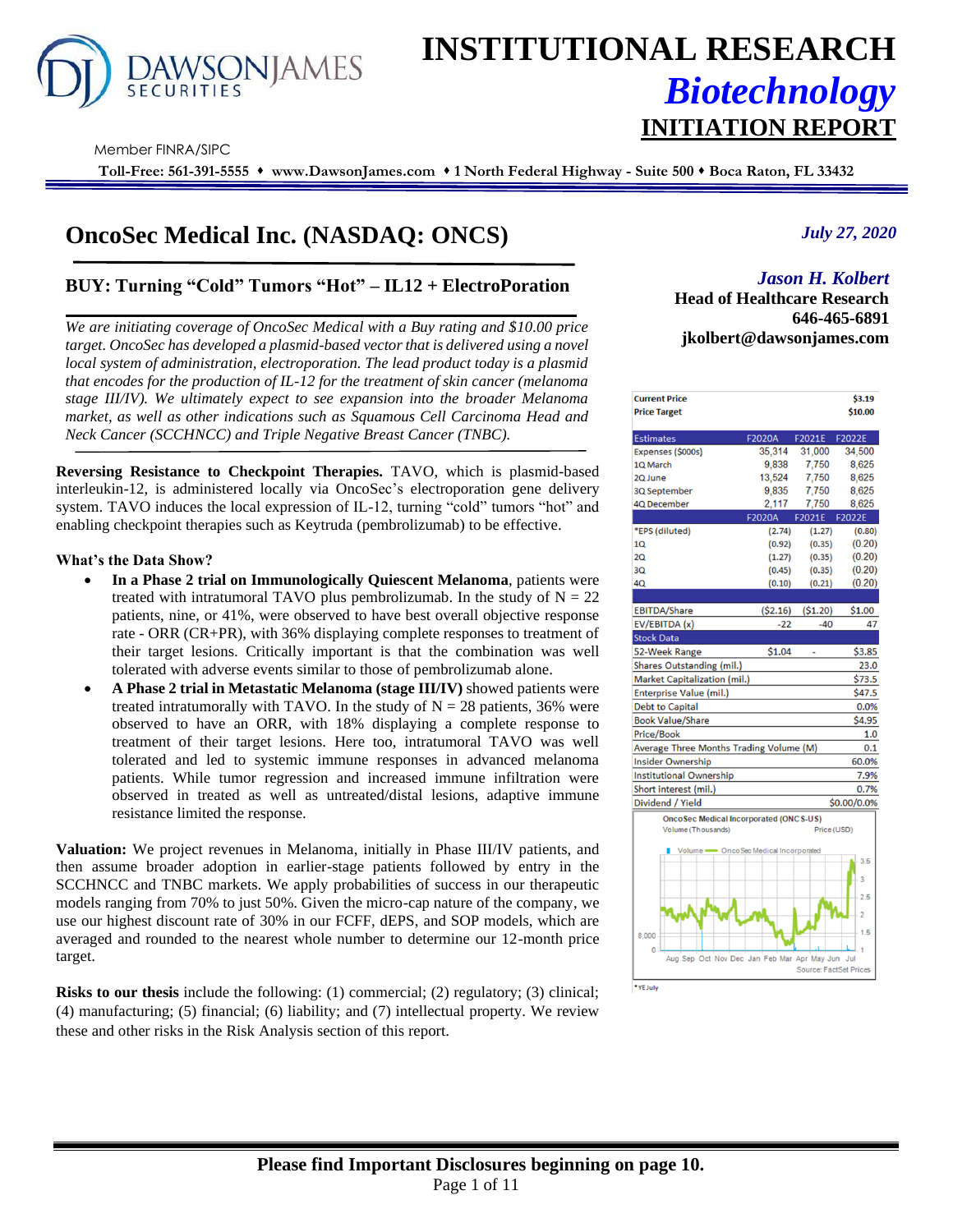

# **INSTITUTIONAL RESEARCH** *Biotechnology* **INITIATION REPORT**

Member FINRA/SIPC

**Toll-Free: 561-391-5555** ⬧ **www.DawsonJames.com** ⬧ **1 North Federal Highway - Suite 500** ⬧ **Boca Raton, FL 33432**

## **OncoSec Medical Inc. (NASDAQ: ONCS)**

## **BUY: Turning "Cold" Tumors "Hot" – IL12 + ElectroPoration**

*We are initiating coverage of OncoSec Medical with a Buy rating and \$10.00 price target. OncoSec has developed a plasmid-based vector that is delivered using a novel local system of administration, electroporation. The lead product today is a plasmid that encodes for the production of IL-12 for the treatment of skin cancer (melanoma stage III/IV). We ultimately expect to see expansion into the broader Melanoma market, as well as other indications such as Squamous Cell Carcinoma Head and Neck Cancer (SCCHNCC) and Triple Negative Breast Cancer (TNBC).*

**Reversing Resistance to Checkpoint Therapies.** TAVO, which is plasmid-based interleukin-12, is administered locally via OncoSec's electroporation gene delivery system. TAVO induces the local expression of IL-12, turning "cold" tumors "hot" and enabling checkpoint therapies such as Keytruda (pembrolizumab) to be effective.

#### **What's the Data Show?**

- **In a Phase 2 trial on Immunologically Quiescent Melanoma**, patients were treated with intratumoral TAVO plus pembrolizumab. In the study of  $N = 22$ patients, nine, or 41%, were observed to have best overall objective response rate - ORR (CR+PR), with 36% displaying complete responses to treatment of their target lesions. Critically important is that the combination was well tolerated with adverse events similar to those of pembrolizumab alone.
- **A Phase 2 trial in Metastatic Melanoma (stage III/IV)** showed patients were treated intratumorally with TAVO. In the study of  $N = 28$  patients, 36% were observed to have an ORR, with 18% displaying a complete response to treatment of their target lesions. Here too, intratumoral TAVO was well tolerated and led to systemic immune responses in advanced melanoma patients. While tumor regression and increased immune infiltration were observed in treated as well as untreated/distal lesions, adaptive immune resistance limited the response.

**Valuation:** We project revenues in Melanoma, initially in Phase III/IV patients, and then assume broader adoption in earlier-stage patients followed by entry in the SCCHNCC and TNBC markets. We apply probabilities of success in our therapeutic models ranging from 70% to just 50%. Given the micro-cap nature of the company, we use our highest discount rate of 30% in our FCFF, dEPS, and SOP models, which are averaged and rounded to the nearest whole number to determine our 12-month price target.

**Risks to our thesis** include the following: (1) commercial; (2) regulatory; (3) clinical; (4) manufacturing; (5) financial; (6) liability; and (7) intellectual property. We review these and other risks in the Risk Analysis section of this report.

*July 27, 2020*

### *Jason H. Kolbert*

**Investment Highlights Head of Healthcare Research 646-465-6891 jkolbert@dawsonjames.com**

| <b>Current Price</b>                          |           |                               | \$3.19      |
|-----------------------------------------------|-----------|-------------------------------|-------------|
| <b>Price Target</b>                           |           |                               | \$10.00     |
|                                               |           |                               |             |
| <b>Estimates</b>                              | F2020A    | F2021E                        | F2022E      |
| Expenses (\$000s)                             | 35.314    | 31,000                        | 34.500      |
| 1Q March                                      | 9,838     | 7,750                         | 8,625       |
| 2Q June                                       | 13,524    | 7.750                         | 8,625       |
| 3Q September                                  | 9,835     | 7,750                         | 8,625       |
| 4Q December                                   | 2,117     | 7,750                         | 8,625       |
|                                               | F2020A    | F2021E                        | F2022E      |
| *EPS (diluted)                                | (2.74)    | (1.27)                        | (0.80)      |
| 1Q                                            | (0.92)    | (0.35)                        | (0.20)      |
| 20                                            | (1.27)    | (0.35)                        | (0.20)      |
| 3Q                                            | (0.45)    | (0.35)                        | (0.20)      |
| 40                                            | (0.10)    | (0.21)                        | (0.20)      |
|                                               |           |                               |             |
| <b>EBITDA/Share</b>                           | ( \$2.16) | (51.20)                       | \$1.00      |
| EV/EBITDA (x)                                 | $-22$     | $-40$                         | 47          |
| <b>Stock Data</b>                             |           |                               |             |
| 52-Week Range                                 | \$1.04    |                               | \$3.85      |
| Shares Outstanding (mil.)                     |           |                               | 23.0        |
| Market Capitalization (mil.)                  |           |                               | \$73.5      |
| <b>Enterprise Value (mil.)</b>                |           |                               | \$47.5      |
| <b>Debt to Capital</b>                        |           |                               | 0.0%        |
| <b>Book Value/Share</b>                       |           |                               | \$4.95      |
| <b>Price/Book</b>                             |           |                               | 1.0         |
| Average Three Months Trading Volume (M)       |           |                               | 0.1         |
| <b>Insider Ownership</b>                      |           |                               | 60.0%       |
| <b>Institutional Ownership</b>                |           |                               | 7.9%        |
| Short interest (mil.)                         |           |                               | 0.7%        |
| Dividend / Yield                              |           |                               | \$0.00/0.0% |
| <b>OncoSec Medical Incorporated (ONCS-US)</b> |           |                               |             |
| Volume (Thousands)                            |           | Price (USD)                   |             |
| Volume - OncoSec Medical Incorporated         |           |                               |             |
|                                               |           |                               | 3.5<br>3    |
|                                               |           |                               | 2.5         |
|                                               |           |                               | 2           |
| 8,000<br>$\mathbf{0}$                         |           |                               | 1.5         |
| Aug Sep Oct Nov Dec Jan Feb Mar Apr May Jun   |           |                               | Jul         |
|                                               |           | <b>Source: FactSet Prices</b> |             |
| * YE tolv                                     |           |                               |             |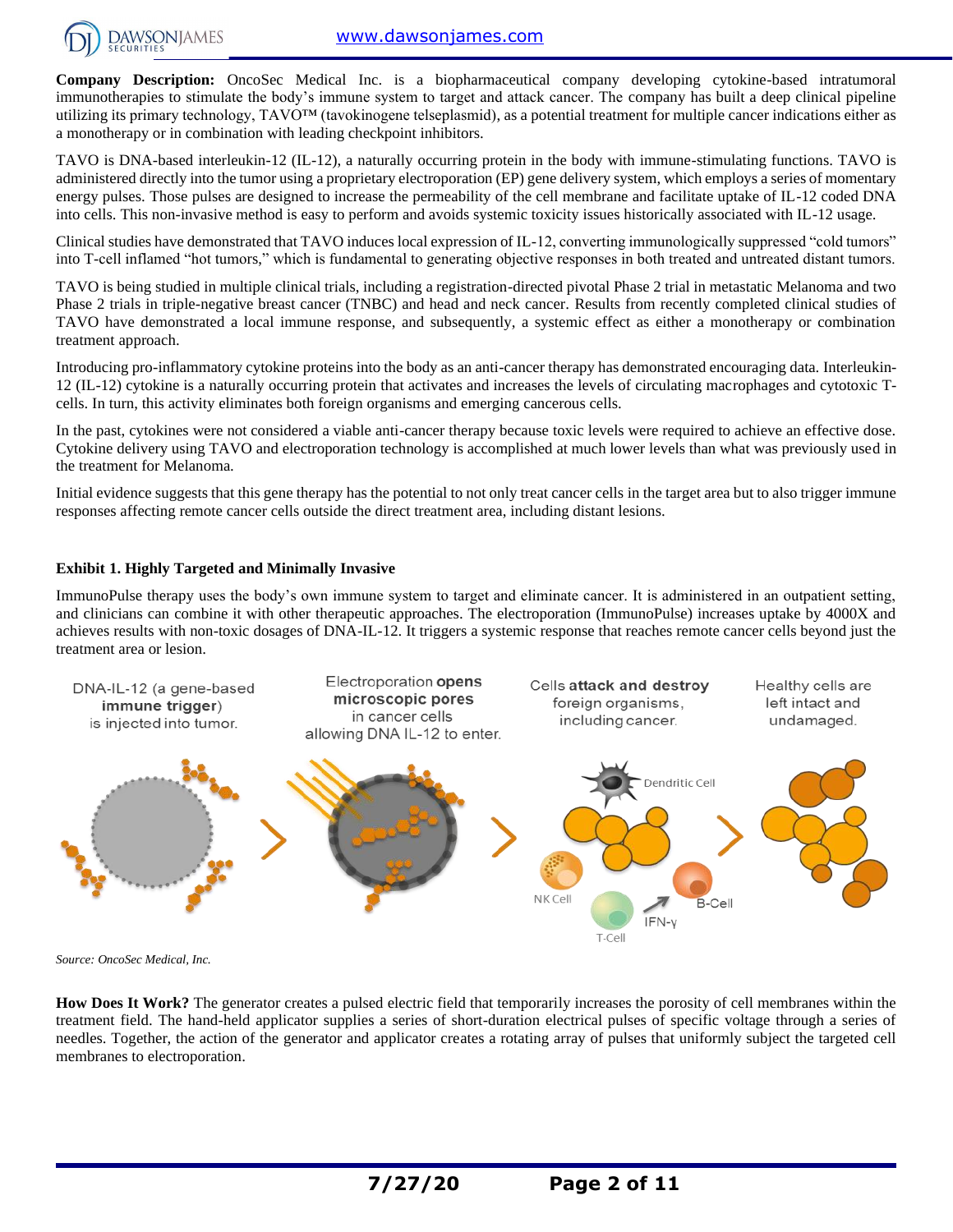

**Company Description:** OncoSec Medical Inc. is a biopharmaceutical company developing cytokine-based intratumoral immunotherapies to stimulate the body's immune system to target and attack cancer. The company has built a deep clinical pipeline utilizing its primary technology, TAVO™ (tavokinogene telseplasmid), as a potential treatment for multiple cancer indications either as a monotherapy or in combination with leading checkpoint inhibitors.

TAVO is DNA-based interleukin-12 (IL-12), a naturally occurring protein in the body with immune-stimulating functions. TAVO is administered directly into the tumor using a proprietary electroporation (EP) gene delivery system, which employs a series of momentary energy pulses. Those pulses are designed to increase the permeability of the cell membrane and facilitate uptake of IL-12 coded DNA into cells. This non-invasive method is easy to perform and avoids systemic toxicity issues historically associated with IL-12 usage.

Clinical studies have demonstrated that TAVO induces local expression of IL-12, converting immunologically suppressed "cold tumors" into T-cell inflamed "hot tumors," which is fundamental to generating objective responses in both treated and untreated distant tumors.

TAVO is being studied in multiple clinical trials, including a registration-directed pivotal Phase 2 trial in metastatic Melanoma and two Phase 2 trials in triple-negative breast cancer (TNBC) and head and neck cancer. Results from recently completed clinical studies of TAVO have demonstrated a local immune response, and subsequently, a systemic effect as either a monotherapy or combination treatment approach.

Introducing pro-inflammatory cytokine proteins into the body as an anti-cancer therapy has demonstrated encouraging data. Interleukin-12 (IL-12) cytokine is a naturally occurring protein that activates and increases the levels of circulating macrophages and cytotoxic Tcells. In turn, this activity eliminates both foreign organisms and emerging cancerous cells.

In the past, cytokines were not considered a viable anti-cancer therapy because toxic levels were required to achieve an effective dose. Cytokine delivery using TAVO and electroporation technology is accomplished at much lower levels than what was previously used in the treatment for Melanoma.

Initial evidence suggests that this gene therapy has the potential to not only treat cancer cells in the target area but to also trigger immune responses affecting remote cancer cells outside the direct treatment area, including distant lesions.

#### **Exhibit 1. Highly Targeted and Minimally Invasive**

ImmunoPulse therapy uses the body's own immune system to target and eliminate cancer. It is administered in an outpatient setting, and clinicians can combine it with other therapeutic approaches. The electroporation (ImmunoPulse) increases uptake by 4000X and achieves results with non-toxic dosages of DNA-IL-12. It triggers a systemic response that reaches remote cancer cells beyond just the treatment area or lesion.



*Source: OncoSec Medical, Inc.*

**How Does It Work?** The generator creates a pulsed electric field that temporarily increases the porosity of cell membranes within the treatment field. The hand-held applicator supplies a series of short-duration electrical pulses of specific voltage through a series of needles. Together, the action of the generator and applicator creates a rotating array of pulses that uniformly subject the targeted cell membranes to electroporation.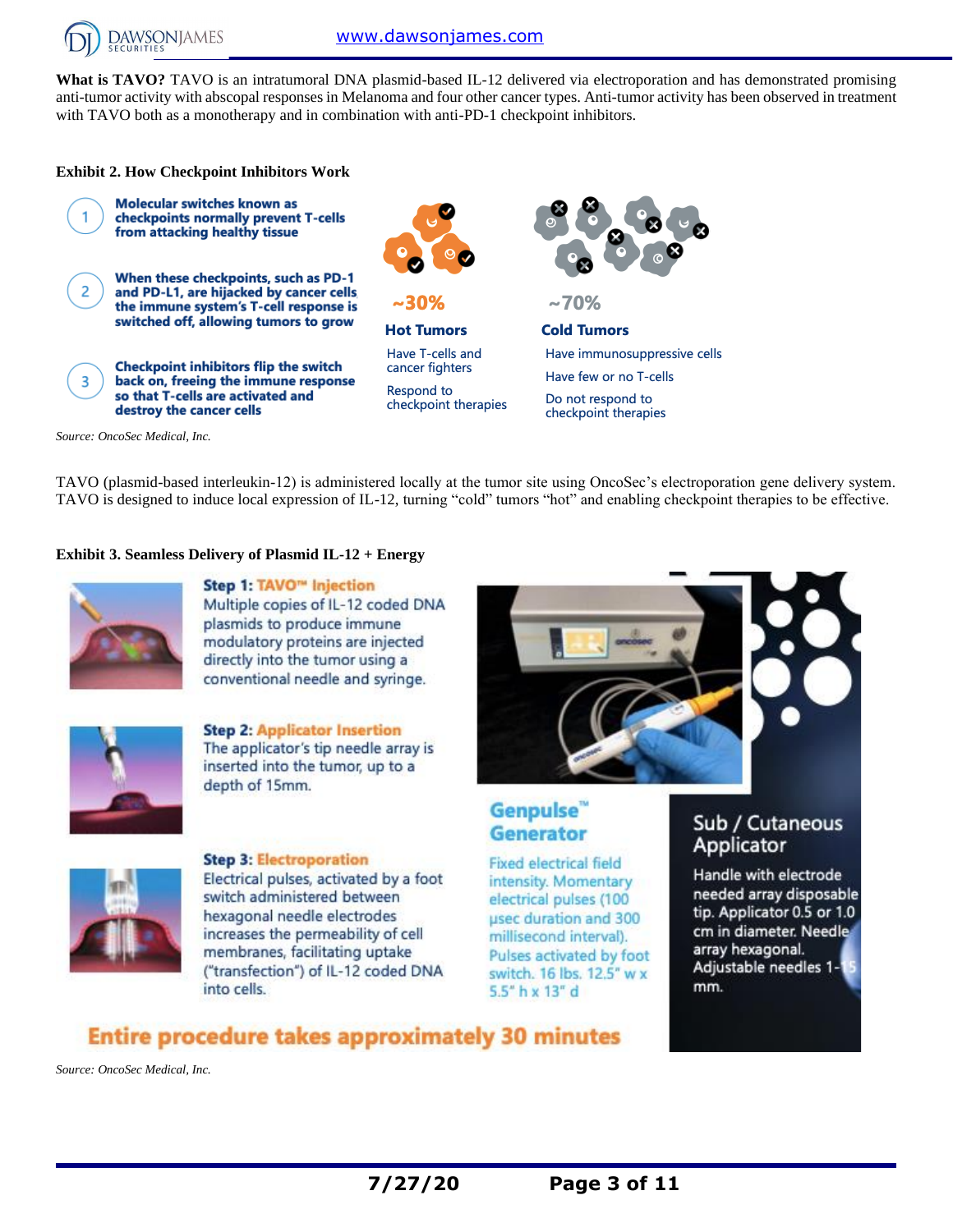

What is TAVO? TAVO is an intratumoral DNA plasmid-based IL-12 delivered via electroporation and has demonstrated promising anti-tumor activity with abscopal responses in Melanoma and four other cancer types. Anti-tumor activity has been observed in treatment with TAVO both as a monotherapy and in combination with anti-PD-1 checkpoint inhibitors.

#### **Exhibit 2. How Checkpoint Inhibitors Work**



TAVO (plasmid-based interleukin-12) is administered locally at the tumor site using OncoSec's electroporation gene delivery system. TAVO is designed to induce local expression of IL-12, turning "cold" tumors "hot" and enabling checkpoint therapies to be effective.

#### **Exhibit 3. Seamless Delivery of Plasmid IL-12 + Energy**



Step 1: TAVO<sup>™</sup> Injection Multiple copies of IL-12 coded DNA plasmids to produce immune modulatory proteins are injected directly into the tumor using a conventional needle and syringe.



**Step 2: Applicator Insertion** The applicator's tip needle array is inserted into the tumor, up to a depth of 15mm.



**Step 3: Electroporation** Electrical pulses, activated by a foot switch administered between hexagonal needle electrodes increases the permeability of cell membranes, facilitating uptake ("transfection") of IL-12 coded DNA into cells.

## Genpulse<sup>"</sup> **Generator**

Fixed electrical field intensity. Momentary electrical pulses (100 usec duration and 300 millisecond interval). Pulses activated by foot switch. 16 lbs. 12.5" w x 5.5" h x 13" d

## Sub / Cutaneous Applicator

Handle with electrode needed array disposable tip. Applicator 0.5 or 1.0 cm in diameter. Needle array hexagonal. Adjustable needles 1mm.

## **Entire procedure takes approximately 30 minutes**

*Source: OncoSec Medical, Inc.*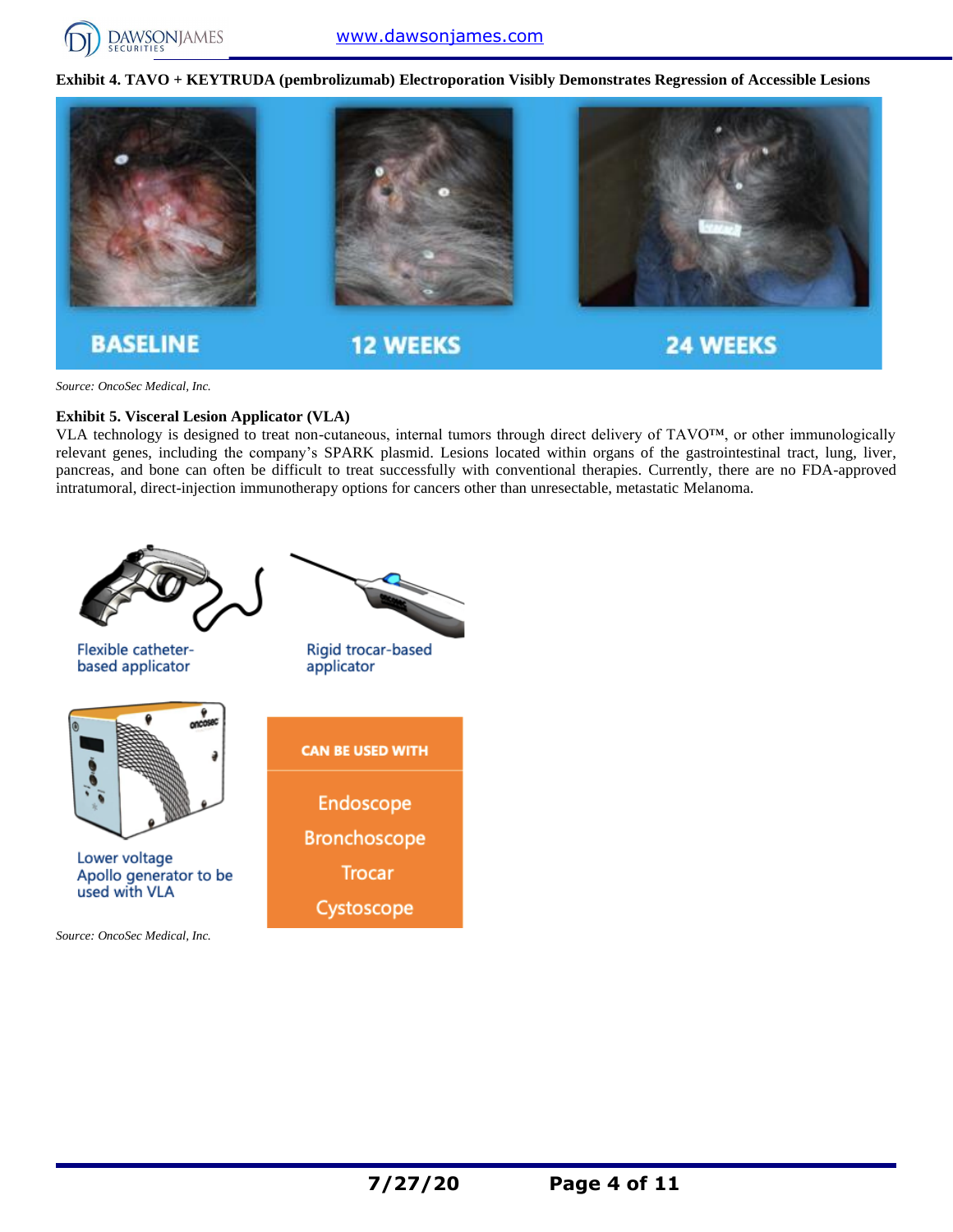

**Exhibit 4. TAVO + KEYTRUDA (pembrolizumab) Electroporation Visibly Demonstrates Regression of Accessible Lesions**



*Source: OncoSec Medical, Inc.*

#### **Exhibit 5. Visceral Lesion Applicator (VLA)**

VLA technology is designed to treat non-cutaneous, internal tumors through direct delivery of TAVO™, or other immunologically relevant genes, including the company's SPARK plasmid. Lesions located within organs of the gastrointestinal tract, lung, liver, pancreas, and bone can often be difficult to treat successfully with conventional therapies. Currently, there are no FDA-approved intratumoral, direct-injection immunotherapy options for cancers other than unresectable, metastatic Melanoma.

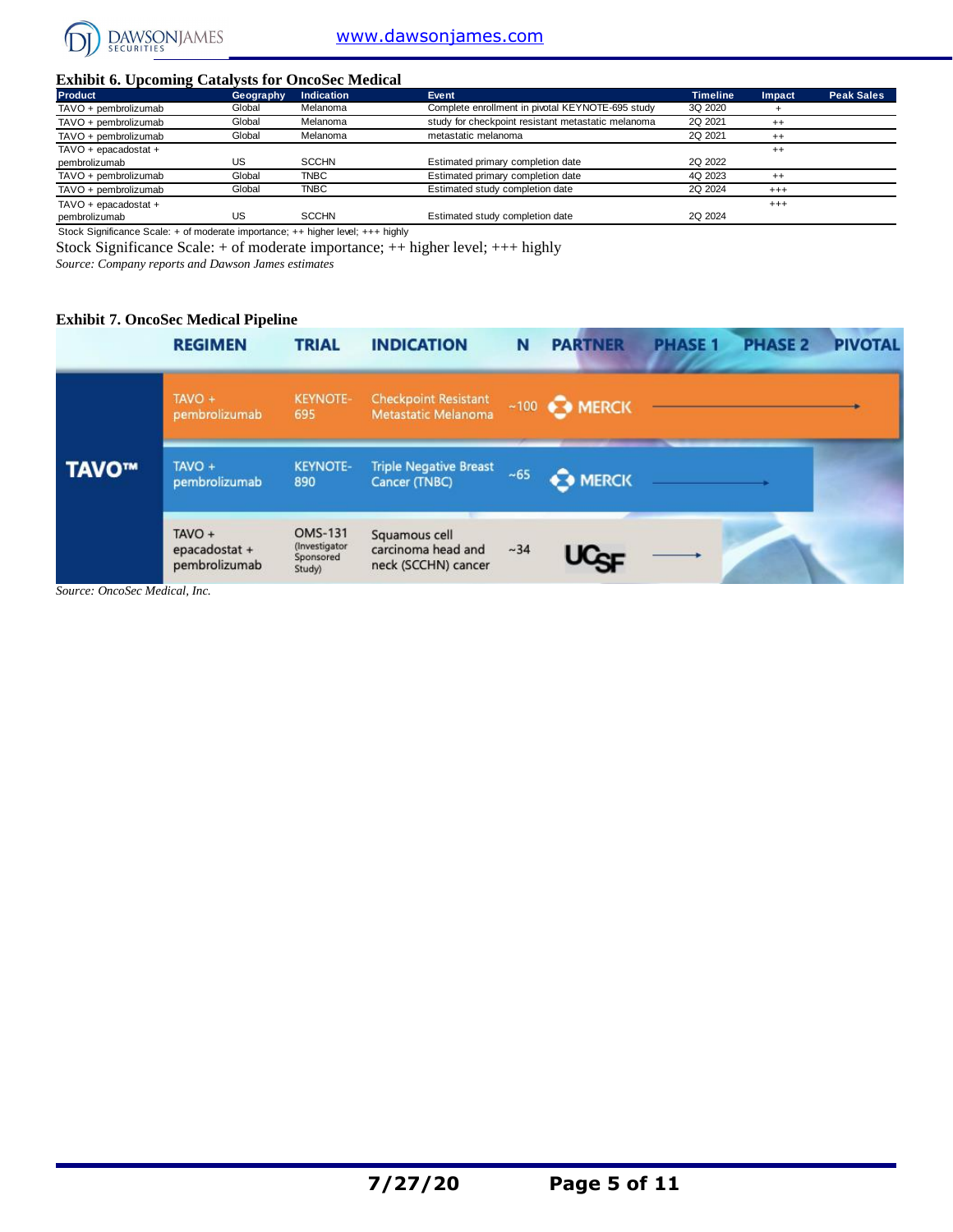

#### **Exhibit 6. Upcoming Catalysts for OncoSec Medical**

| <b>DAWSONJAMES</b>                                       |           |                   | www.dawsonjames.com                                |                 |          |                   |
|----------------------------------------------------------|-----------|-------------------|----------------------------------------------------|-----------------|----------|-------------------|
| <b>Exhibit 6. Upcoming Catalysts for OncoSec Medical</b> |           |                   |                                                    |                 |          |                   |
| Product                                                  | Geography | <b>Indication</b> | Event                                              | <b>Timeline</b> | Impact   | <b>Peak Sales</b> |
| TAVO + pembrolizumab                                     | Global    | Melanoma          | Complete enrollment in pivotal KEYNOTE-695 study   | 3Q 2020         |          |                   |
| TAVO + pembrolizumab                                     | Global    | Melanoma          | study for checkpoint resistant metastatic melanoma | 2Q 2021         | $^{++}$  |                   |
| TAVO + pembrolizumab                                     | Global    | Melanoma          | metastatic melanoma                                | 2Q 2021         | $^{++}$  |                   |
| TAVO + epacadostat +                                     |           |                   |                                                    |                 | $^{++}$  |                   |
| pembrolizumab                                            | US        | <b>SCCHN</b>      | Estimated primary completion date                  | 2Q 2022         |          |                   |
| TAVO + pembrolizumab                                     | Global    | <b>TNBC</b>       | Estimated primary completion date                  | 4Q 2023         | $^{++}$  |                   |
| TAVO + pembrolizumab                                     | Global    | <b>TNBC</b>       | Estimated study completion date                    | 2Q 2024         | $^{+++}$ |                   |
| TAVO + epacadostat +                                     |           |                   |                                                    |                 | $^{+++}$ |                   |
| pembrolizumab                                            | US        | <b>SCCHN</b>      | Estimated study completion date                    | 2Q 2024         |          |                   |

Stock Significance Scale: + of moderate importance; ++ higher level; +++ highly

Stock Significance Scale: + of moderate importance; ++ higher level; +++ highly

*Source: Company reports and Dawson James estimates*

#### **Exhibit 7. OncoSec Medical Pipeline**

|       | <b>REGIMEN</b>                             | <b>TRIAL</b>                                           | <b>INDICATION</b>                                          | N        | <b>PARTNER</b>          | <b>PHASE 1</b> | <b>PHASE 2</b> | <b>PIVOTAL</b> |
|-------|--------------------------------------------|--------------------------------------------------------|------------------------------------------------------------|----------|-------------------------|----------------|----------------|----------------|
|       | TAVO +<br>pembrolizumab                    | <b>KEYNOTE-</b><br>695                                 | <b>Checkpoint Resistant</b><br><b>Metastatic Melanoma</b>  |          | $~100$ $~\bullet$ MERCK |                |                |                |
| TAVO™ | TAVO +<br>pembrolizumab                    | <b>KEYNOTE-</b><br>890                                 | <b>Triple Negative Breast</b><br><b>Cancer (TNBC)</b>      | $~10-65$ | <b>O</b> MERCK          |                |                |                |
|       | $TAVO +$<br>epacadostat +<br>pembrolizumab | <b>OMS-131</b><br>(Investigator<br>Sponsored<br>Study) | Squamous cell<br>carcinoma head and<br>neck (SCCHN) cancer | ~1.34    | UCCE                    |                |                |                |

*Source: OncoSec Medical, Inc.*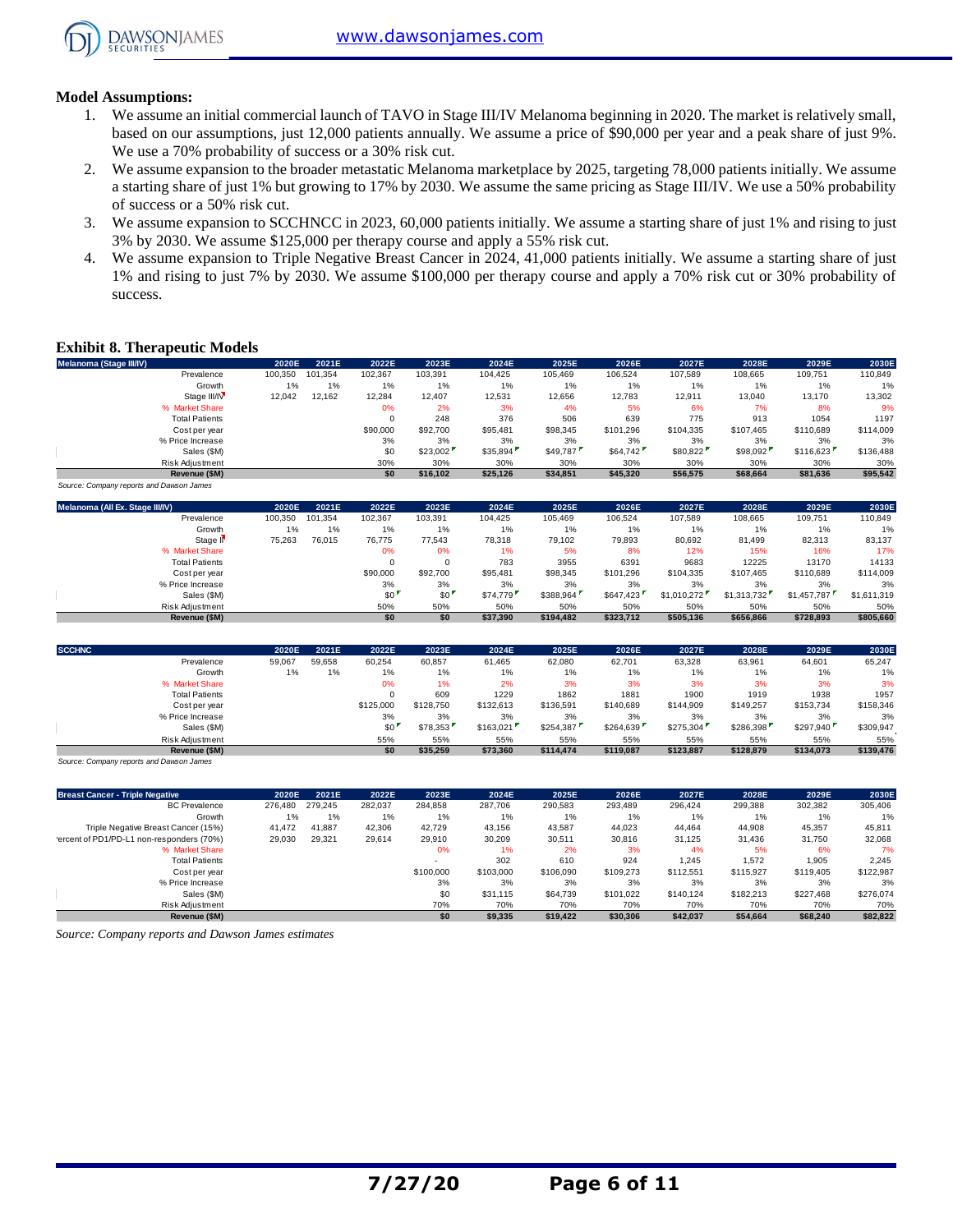

#### **Model Assumptions:**

- 1. We assume an initial commercial launch of TAVO in Stage III/IV Melanoma beginning in 2020. The market is relatively small, based on our assumptions, just 12,000 patients annually. We assume a price of \$90,000 per year and a peak share of just 9%. We use a 70% probability of success or a 30% risk cut.
- 2. We assume expansion to the broader metastatic Melanoma marketplace by 2025, targeting 78,000 patients initially. We assume a starting share of just 1% but growing to 17% by 2030. We assume the same pricing as Stage III/IV. We use a 50% probability of success or a 50% risk cut.
- 3. We assume expansion to SCCHNCC in 2023, 60,000 patients initially. We assume a starting share of just 1% and rising to just 3% by 2030. We assume \$125,000 per therapy course and apply a 55% risk cut.
- 4. We assume expansion to Triple Negative Breast Cancer in 2024, 41,000 patients initially. We assume a starting share of just 1% and rising to just 7% by 2030. We assume \$100,000 per therapy course and apply a 70% risk cut or 30% probability of success.

#### **Exhibit 8. Therapeutic Models**

| Melanoma (Stage III/IV)                  | 2020E   | 2021E   | 2022E           | 2023E     | 2024E     | 2025E     | 2026E     | 2027E       | 2028E       | 2029E       | 2030E       |
|------------------------------------------|---------|---------|-----------------|-----------|-----------|-----------|-----------|-------------|-------------|-------------|-------------|
| Prevalence                               | 100,350 | 101,354 | 102,367         | 103,391   | 104,425   | 105,469   | 106,524   | 107,589     | 108,665     | 109,751     | 110,849     |
| Growth                                   | 1%      | 1%      | 1%              | 1%        | 1%        | 1%        | 1%        | 1%          | 1%          | 1%          | 1%          |
| Stage III/IV                             | 12.042  | 12.162  | 12.284          | 12,407    | 12,531    | 12,656    | 12.783    | 12,911      | 13,040      | 13,170      | 13,302      |
| % Market Share                           |         |         | 0%              | 2%        | 3%        | 4%        | 5%        | 6%          | 7%          | 8%          | 9%          |
| <b>Total Patients</b>                    |         |         | $\mathbf 0$     | 248       | 376       | 506       | 639       | 775         | 913         | 1054        | 1197        |
| Cost per year                            |         |         | \$90,000        | \$92,700  | \$95,481  | \$98,345  | \$101,296 | \$104,335   | \$107,465   | \$110,689   | \$114,009   |
| % Price Increase                         |         |         | 3%              | 3%        | 3%        | 3%        | 3%        | 3%          | 3%          | 3%          | 3%          |
| Sales (\$M)                              |         |         | \$0             | \$23.002  | \$35,894  | \$49.787  | \$64.742  | \$80,822    | \$98,092    | \$116,623   | \$136,488   |
| Risk Adjustment                          |         |         | 30%             | 30%       | 30%       | 30%       | 30%       | 30%         | 30%         | 30%         | 30%         |
| Revenue (\$M)                            |         |         | \$0             | \$16.102  | \$25.126  | \$34.851  | \$45.320  | \$56.575    | \$68,664    | \$81,636    | \$95.542    |
| Source: Company reports and Dawson James |         |         |                 |           |           |           |           |             |             |             |             |
| Melanoma (All Ex. Stage III/IV)          | 2020E   | 2021E   | 2022E           | 2023E     | 2024E     | 2025E     | 2026E     | 2027E       | 2028E       | 2029E       | 2030E       |
| Prevalence                               | 100,350 | 101,354 | 102,367         | 103,391   | 104,425   | 105,469   | 106,524   | 107,589     | 108,665     | 109,751     | 110,849     |
| Growth                                   | 1%      | 1%      | 1%              | 1%        | 1%        | 1%        | 1%        | 1%          | 1%          | 1%          | 1%          |
| Stage II                                 | 75,263  | 76,015  | 76.775          | 77.543    | 78,318    | 79.102    | 79.893    | 80.692      | 81.499      | 82,313      | 83.137      |
| % Market Share                           |         |         | 0%              | 0%        | 1%        | 5%        | 8%        | 12%         | 15%         | 16%         | 17%         |
| <b>Total Patients</b>                    |         |         | $\mathbf 0$     | $\Omega$  | 783       | 3955      | 6391      | 9683        | 12225       | 13170       | 14133       |
| Cost per year                            |         |         | \$90,000        | \$92,700  | \$95,481  | \$98,345  | \$101,296 | \$104,335   | \$107,465   | \$110,689   | \$114,009   |
| % Price Increase                         |         |         | 3%              | 3%        | 3%        | 3%        | 3%        | 3%          | 3%          | 3%          | 3%          |
| Sales (\$M)                              |         |         | \$0             | \$0       | \$74,779  | \$388,964 | \$647,423 | \$1,010,272 | \$1,313,732 | \$1,457,787 | \$1,611,319 |
| <b>Risk Adjustment</b>                   |         |         | 50%             | 50%       | 50%       | 50%       | 50%       | 50%         | 50%         | 50%         | 50%         |
| Revenue (\$M)                            |         |         | \$0             | \$0       | \$37.390  | \$194,482 | \$323,712 | \$505.136   | \$656.866   | \$728,893   | \$805.660   |
| <b>SCCHNC</b>                            | 2020E   | 2021E   | 2022E           | 2023E     | 2024E     | 2025E     | 2026E     | 2027E       | 2028E       | 2029E       | 2030E       |
| Prevalence                               | 59,067  | 59,658  | 60,254          | 60,857    | 61,465    | 62,080    | 62,701    | 63,328      | 63,961      | 64,601      | 65,247      |
| Growth                                   | 1%      | 1%      | 1%              | 1%        | 1%        | 1%        | 1%        | 1%          | 1%          | 1%          | 1%          |
| % Market Share                           |         |         | 0%              | 1%        | 2%        | 3%        | 3%        | 3%          | 3%          | 3%          | 3%          |
| <b>Total Patients</b>                    |         |         | $\Omega$        | 609       | 1229      | 1862      | 1881      | 1900        | 1919        | 1938        | 1957        |
| Cost per year                            |         |         | \$125,000       | \$128,750 | \$132,613 | \$136,591 | \$140,689 | \$144,909   | \$149,257   | \$153.734   | \$158,346   |
| % Price Increase                         |         |         | 3%              | 3%        | 3%        | 3%        | 3%        | 3%          | 3%          | 3%          | 3%          |
| Sales (\$M)                              |         |         | SO <sup>1</sup> | \$78.353  | \$163,021 | \$254,387 | \$264,639 | \$275,304   | \$286,398   | \$297,940   | \$309,947   |
| <b>Risk Adiustment</b>                   |         |         | 55%             | 55%       | 55%       | 55%       | 55%       | 55%         | 55%         | 55%         | 55%         |
| Revenue (\$M)                            |         |         | \$0             | \$35.259  | \$73.360  | \$114,474 | \$119.087 | \$123.887   | \$128.879   | \$134.073   | \$139,476   |

| Risk Adjustment                                    |         |         | 55%     | 55%       | 55%       | 55%       | 55%       | 55%       | 55%       | 55%       | 55%       |
|----------------------------------------------------|---------|---------|---------|-----------|-----------|-----------|-----------|-----------|-----------|-----------|-----------|
| Revenue (\$M)                                      |         |         | \$0     | \$35,259  | \$73,360  | \$114,474 | \$119,087 | \$123,887 | \$128,879 | \$134,073 | \$139,476 |
| Source: Company reports and Dawson James           |         |         |         |           |           |           |           |           |           |           |           |
| <b>Breast Cancer - Triple Negative</b>             | 2020E   | 2021E   | 2022E   | 2023E     | 2024E     | 2025E     | 2026E     | 2027E     | 2028E     | 2029E     | 2030E     |
| <b>BC</b> Prevalence                               | 276,480 | 279.245 | 282,037 | 284,858   | 287,706   | 290,583   | 293,489   | 296,424   | 299,388   | 302,382   | 305,406   |
| Growth                                             | 1%      | 1%      | 1%      | 1%        | 1%        | 1%        | 1%        | 1%        | 1%        | 1%        | 1%        |
| Triple Negative Breast Cancer (15%)                | 41,472  | 41.887  | 42,306  | 42.729    | 43,156    | 43,587    | 44,023    | 44.464    | 44,908    | 45,357    | 45,811    |
| 'ercent of PD1/PD-L1 non-responders (70%)          | 29,030  | 29,321  | 29,614  | 29,910    | 30,209    | 30,511    | 30,816    | 31,125    | 31,436    | 31,750    | 32,068    |
| % Market Share                                     |         |         |         | 0%        | 1%        | 2%        | 3%        | 4%        | 5%        | 6%        | 7%        |
| <b>Total Patients</b>                              |         |         |         |           | 302       | 610       | 924       | 1,245     | 1,572     | 1,905     | 2,245     |
| Cost per year                                      |         |         |         | \$100,000 | \$103,000 | \$106,090 | \$109.273 | \$112,551 | \$115,927 | \$119,405 | \$122,987 |
| % Price Increase                                   |         |         |         | 3%        | 3%        | 3%        | 3%        | 3%        | 3%        | 3%        | 3%        |
| Sales (\$M)                                        |         |         |         | \$0       | \$31,115  | \$64,739  | \$101,022 | \$140.124 | \$182,213 | \$227,468 | \$276,074 |
| Risk Adjustment                                    |         |         |         | 70%       | 70%       | 70%       | 70%       | 70%       | 70%       | 70%       | 70%       |
| Revenue (\$M)                                      |         |         |         | \$0       | \$9,335   | \$19,422  | \$30,306  | \$42,037  | \$54,664  | \$68,240  | \$82,822  |
| Source: Company reports and Dawson James estimates |         |         |         |           |           |           |           |           |           |           |           |

*Source: Company reports and Dawson James estimates*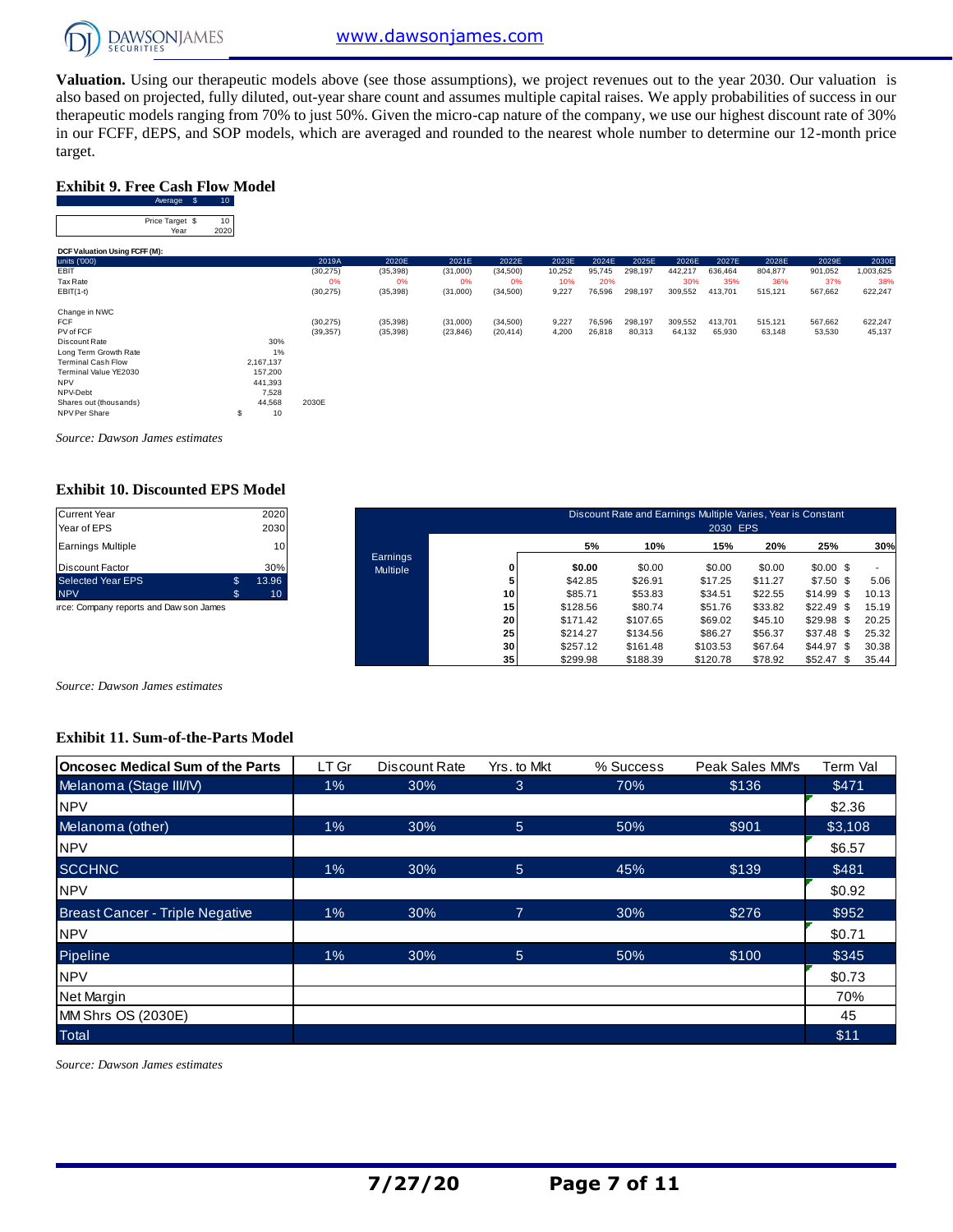

**Valuation.** Using our therapeutic models above (see those assumptions), we project revenues out to the year 2030. Our valuation is also based on projected, fully diluted, out-year share count and assumes multiple capital raises. We apply probabilities of success in our therapeutic models ranging from 70% to just 50%. Given the micro-cap nature of the company, we use our highest discount rate of 30% Exhibit 9. Free Cash Flow Model<br>
Exhibit 9. Free Cash Flow Model<br>
Average \$ 10<br>
Price Tange \$ 10 target.

#### **Exhibit 9. Free Cash Flow Model**

| target.                                |                 |           |           |           |           |        |        |         |         |         |         |         |           |
|----------------------------------------|-----------------|-----------|-----------|-----------|-----------|--------|--------|---------|---------|---------|---------|---------|-----------|
| <b>Exhibit 9. Free Cash Flow Model</b> |                 |           |           |           |           |        |        |         |         |         |         |         |           |
| Average \$                             | 10 <sub>1</sub> |           |           |           |           |        |        |         |         |         |         |         |           |
| Price Target \$<br>Year                | 10<br>2020      |           |           |           |           |        |        |         |         |         |         |         |           |
| DCF Valuation Using FCFF (M):          |                 |           |           |           |           |        |        |         |         |         |         |         |           |
| units ('000)                           |                 | 2019A     | 2020E     | 2021E     | 2022E     | 2023E  | 2024E  | 2025E   | 2026E   | 2027E   | 2028E   | 2029E   | 2030E     |
| EBIT                                   |                 | (30, 275) | (35, 398) | (31,000)  | (34,500)  | 10,252 | 95,745 | 298,197 | 442,217 | 636,464 | 804,877 | 901,052 | 1,003,625 |
| Tax Rate                               |                 | 0%        | 0%        | 0%        | 0%        | 10%    | 20%    |         | 30%     | 35%     | 36%     | 37%     | 38%       |
| $EBIT(1-t)$                            |                 | (30, 275) | (35, 398) | (31,000)  | (34, 500) | 9,227  | 76,596 | 298,197 | 309,552 | 413,701 | 515,121 | 567,662 | 622,247   |
| Change in NWC                          |                 |           |           |           |           |        |        |         |         |         |         |         |           |
| <b>FCF</b>                             |                 | (30, 275) | (35, 398) | (31,000)  | (34,500)  | 9,227  | 76,596 | 298,197 | 309,552 | 413,701 | 515,121 | 567,662 | 622,247   |
| PV of FCF                              |                 | (39, 357) | (35, 398) | (23, 846) | (20, 414) | 4,200  | 26,818 | 80,313  | 64,132  | 65,930  | 63,148  | 53,530  | 45,137    |
| Discount Rate                          | 30%             |           |           |           |           |        |        |         |         |         |         |         |           |
| Long Term Growth Rate                  | 1%              |           |           |           |           |        |        |         |         |         |         |         |           |
| <b>Terminal Cash Flow</b>              | 2,167,137       |           |           |           |           |        |        |         |         |         |         |         |           |
| Terminal Value YE2030                  | 157,200         |           |           |           |           |        |        |         |         |         |         |         |           |
| <b>NPV</b>                             | 441,393         |           |           |           |           |        |        |         |         |         |         |         |           |
| NPV-Debt                               | 7,528           |           |           |           |           |        |        |         |         |         |         |         |           |
| Shares out (thousands)                 | 44,568          | 2030E     |           |           |           |        |        |         |         |         |         |         |           |
| NPV Per Share                          | 10<br>\$        |           |           |           |           |        |        |         |         |         |         |         |           |

*Source: Dawson James estimates*

#### **Exhibit 10. Discounted EPS Model**

| <b>Current Year</b><br>Year of EPS | 2020<br>2030 |
|------------------------------------|--------------|
| <b>Earnings Multiple</b>           | 10           |
| <b>Discount Factor</b>             | 30%          |
| <b>Selected Year EPS</b>           | \$<br>13.96  |
| <b>NPV</b>                         | \$<br>10     |

| <b>Current Year</b><br>Year of EPS      |              | 2020<br>2030    |                             |                 |          | Discount Rate and Earnings Multiple Varies, Year is Constant | 2030 EPS |         |                 |       |
|-----------------------------------------|--------------|-----------------|-----------------------------|-----------------|----------|--------------------------------------------------------------|----------|---------|-----------------|-------|
| <b>Earnings Multiple</b>                |              | 10 <sub>1</sub> |                             |                 | 5%       | 10%                                                          | 15%      | 20%     | 25%             | 30%   |
| <b>Discount Factor</b>                  |              | 30%             | Earnings<br><b>Multiple</b> |                 | \$0.00   | \$0.00                                                       | \$0.00   | \$0.00  | $$0.00$ \$      |       |
| <b>Selected Year EPS</b>                | $\mathbb{S}$ | 13.96           |                             |                 | \$42.85  | \$26.91                                                      | \$17.25  | \$11.27 | $$7.50$ \$      | 5.06  |
| <b>NPV</b>                              | \$           | 10 <sup>°</sup> |                             | 10              | \$85.71  | \$53.83                                                      | \$34.51  | \$22.55 | \$14.99<br>- \$ | 10.13 |
| irce: Company reports and Daw son James |              |                 |                             | 15              | \$128.56 | \$80.74                                                      | \$51.76  | \$33.82 | \$22.49<br>\$   | 15.19 |
|                                         |              |                 |                             | 20              | \$171.42 | \$107.65                                                     | \$69.02  | \$45.10 | \$29.98<br>- \$ | 20.25 |
|                                         |              |                 |                             | 25              | \$214.27 | \$134.56                                                     | \$86.27  | \$56.37 | \$37.48<br>- \$ | 25.32 |
|                                         |              |                 |                             | 30              | \$257.12 | \$161.48                                                     | \$103.53 | \$67.64 | \$44.97<br>- \$ | 30.38 |
|                                         |              |                 |                             | 35 <sub>1</sub> | \$299.98 | \$188.39                                                     | \$120.78 | \$78.92 | \$52.47<br>\$   | 35.44 |

*Source: Dawson James estimates*

#### **Exhibit 11. Sum-of-the-Parts Model**

| <b>Oncosec Medical Sum of the Parts</b> | LT Gr | Discount Rate | Yrs. to Mkt | % Success | Peak Sales MM's | Term Val |
|-----------------------------------------|-------|---------------|-------------|-----------|-----------------|----------|
| Melanoma (Stage III/IV)                 | $1\%$ | 30%           | 3           | 70%       | \$136           | \$471    |
| <b>NPV</b>                              |       |               |             |           |                 | \$2.36   |
| Melanoma (other)                        | 1%    | 30%           | 5           | 50%       | \$901           | \$3,108  |
| <b>NPV</b>                              |       |               |             |           |                 | \$6.57   |
| <b>SCCHNC</b>                           | 1%    | 30%           | 5           | 45%       | \$139           | \$481    |
| <b>NPV</b>                              |       |               |             |           |                 | \$0.92   |
| <b>Breast Cancer - Triple Negative</b>  | 1%    | 30%           | 7           | 30%       | \$276           | \$952    |
| <b>NPV</b>                              |       |               |             |           |                 | \$0.71   |
| Pipeline                                | 1%    | 30%           | 5           | 50%       | \$100           | \$345    |
| <b>NPV</b>                              |       |               |             |           |                 | \$0.73   |
| Net Margin                              |       |               |             |           |                 | 70%      |
| MM Shrs OS (2030E)                      |       |               |             |           |                 | 45       |
| <b>Total</b>                            |       |               |             |           |                 | \$11     |

*Source: Dawson James estimates*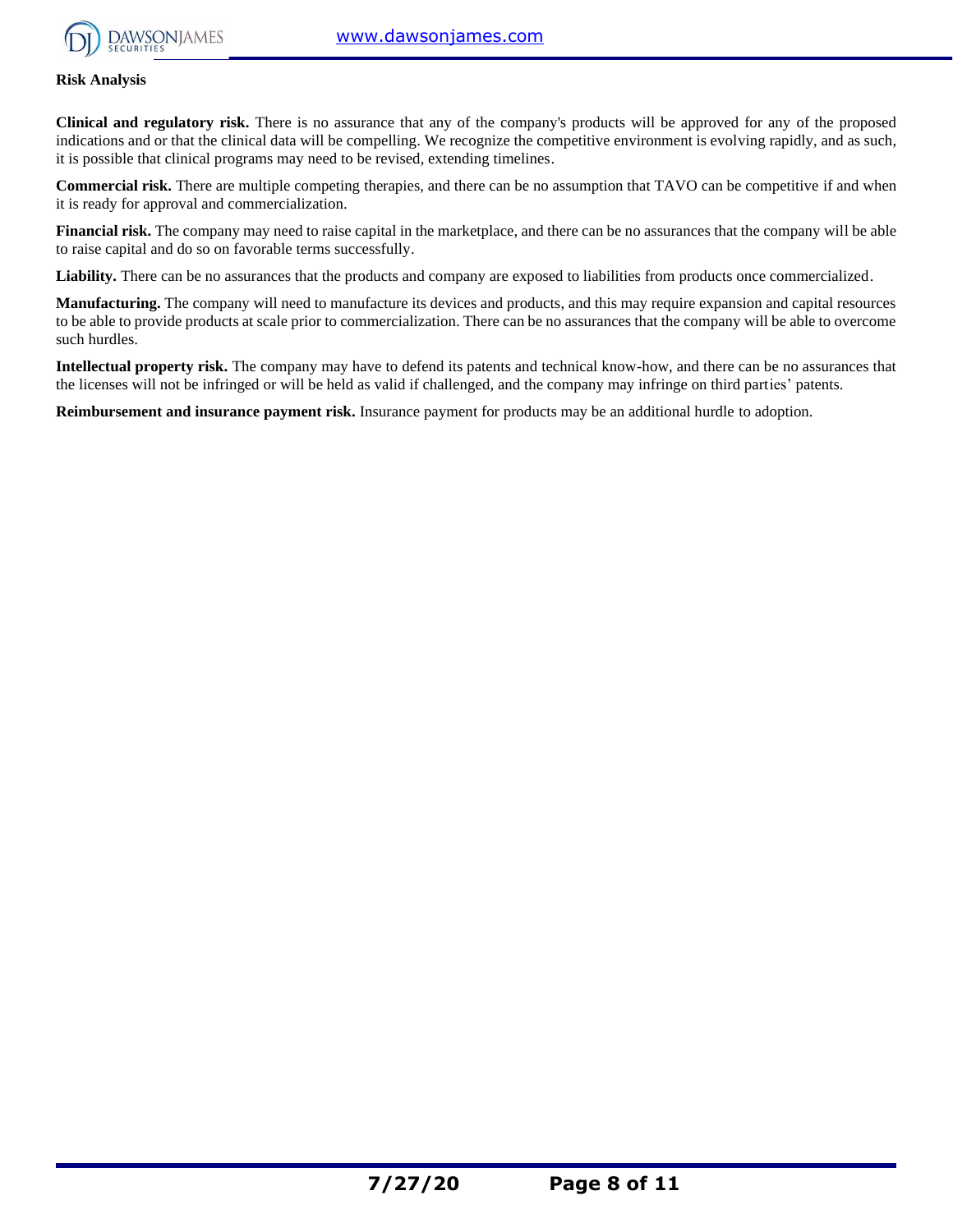

#### **Risk Analysis**

**Clinical and regulatory risk.** There is no assurance that any of the company's products will be approved for any of the proposed indications and or that the clinical data will be compelling. We recognize the competitive environment is evolving rapidly, and as such, it is possible that clinical programs may need to be revised, extending timelines.

**Commercial risk.** There are multiple competing therapies, and there can be no assumption that TAVO can be competitive if and when it is ready for approval and commercialization.

**Financial risk.** The company may need to raise capital in the marketplace, and there can be no assurances that the company will be able to raise capital and do so on favorable terms successfully.

Liability. There can be no assurances that the products and company are exposed to liabilities from products once commercialized.

**Manufacturing.** The company will need to manufacture its devices and products, and this may require expansion and capital resources to be able to provide products at scale prior to commercialization. There can be no assurances that the company will be able to overcome such hurdles.

**Intellectual property risk.** The company may have to defend its patents and technical know-how, and there can be no assurances that the licenses will not be infringed or will be held as valid if challenged, and the company may infringe on third parties' patents.

**Reimbursement and insurance payment risk.** Insurance payment for products may be an additional hurdle to adoption.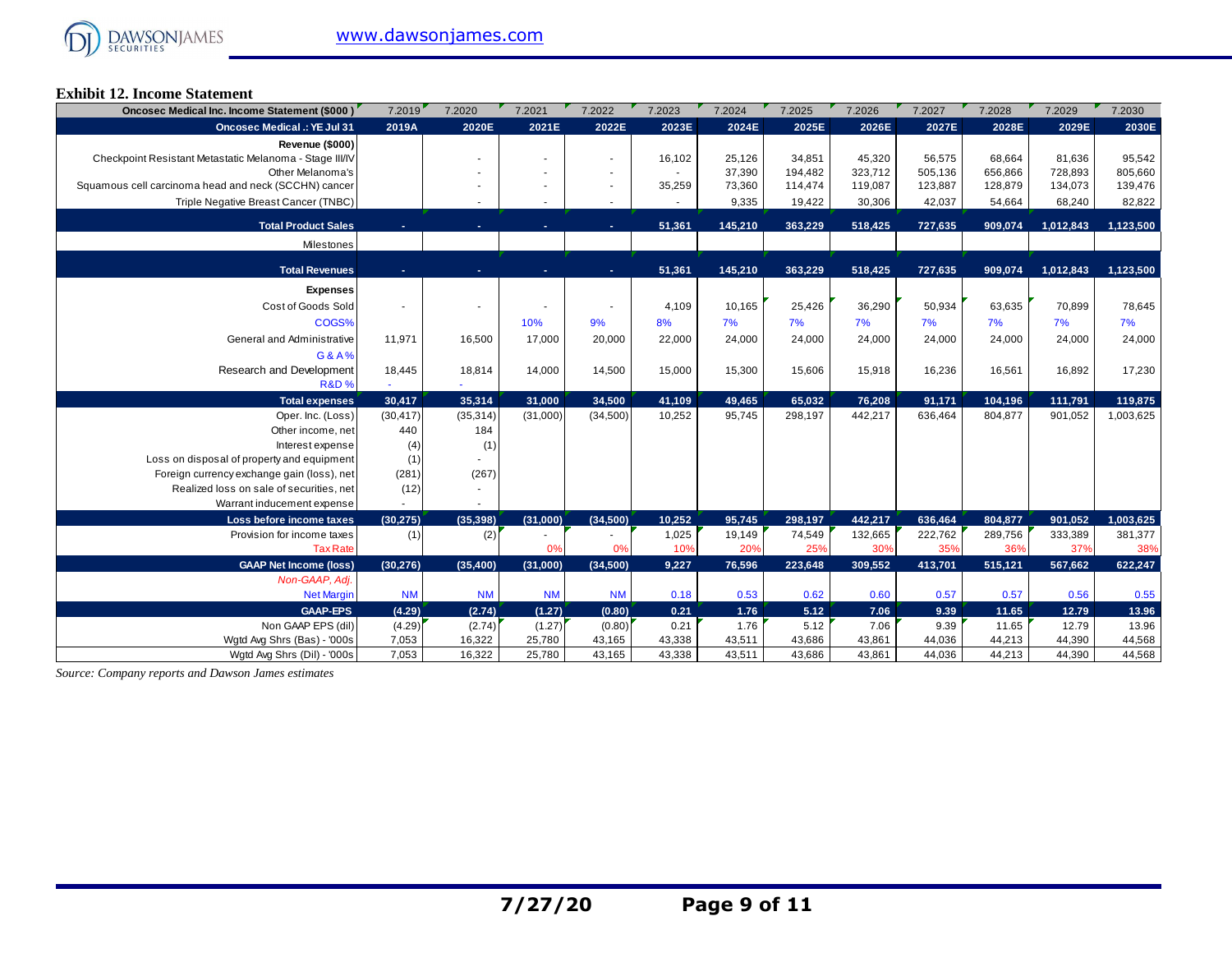

#### **Exhibit 12. Income Statement**

| Oncosec Medical Inc. Income Statement (\$000)           | 7.2019    | 7.2020    | 7.2021    | 7.2022    | 7.2023 | 7.2024  | 7.2025  | 7.2026  | 7.2027  | 7.2028  | 7.2029    | 7.2030    |
|---------------------------------------------------------|-----------|-----------|-----------|-----------|--------|---------|---------|---------|---------|---------|-----------|-----------|
| <b>Oncosec Medical .: YE Jul 31</b>                     | 2019A     | 2020E     | 2021E     | 2022E     | 2023E  | 2024E   | 2025E   | 2026E   | 2027E   | 2028E   | 2029E     | 2030E     |
| Revenue (\$000)                                         |           |           |           |           |        |         |         |         |         |         |           |           |
| Checkpoint Resistant Metastatic Melanoma - Stage III/IV |           |           |           |           | 16,102 | 25,126  | 34,851  | 45,320  | 56,575  | 68,664  | 81,636    | 95,542    |
| Other Melanoma's                                        |           |           |           |           |        | 37,390  | 194,482 | 323,712 | 505,136 | 656,866 | 728,893   | 805,660   |
| Squamous cell carcinoma head and neck (SCCHN) cancer    |           |           |           |           | 35,259 | 73,360  | 114,474 | 119,087 | 123,887 | 128,879 | 134,073   | 139,476   |
| Triple Negative Breast Cancer (TNBC)                    |           |           |           |           |        | 9,335   | 19,422  | 30,306  | 42,037  | 54,664  | 68,240    | 82,822    |
| <b>Total Product Sales</b>                              |           |           |           |           | 51,361 | 145,210 | 363,229 | 518,425 | 727,635 | 909,074 | 1,012,843 | 1,123,500 |
| Milestones                                              |           |           |           |           |        |         |         |         |         |         |           |           |
|                                                         |           |           |           |           |        |         |         |         |         |         |           |           |
| <b>Total Revenues</b>                                   |           | ۰         |           | in.       | 51,361 | 145,210 | 363,229 | 518,425 | 727,635 | 909,074 | 1,012,843 | 1,123,500 |
| <b>Expenses</b>                                         |           |           |           |           |        |         |         |         |         |         |           |           |
| Cost of Goods Sold                                      |           |           |           |           | 4,109  | 10,165  | 25,426  | 36,290  | 50,934  | 63,635  | 70,899    | 78,645    |
| COGS%                                                   |           |           | 10%       | 9%        | 8%     | 7%      | 7%      | 7%      | 7%      | 7%      | 7%        | 7%        |
| General and Administrative                              | 11,971    | 16,500    | 17,000    | 20,000    | 22,000 | 24,000  | 24,000  | 24,000  | 24,000  | 24,000  | 24,000    | 24,000    |
|                                                         |           |           |           |           |        |         |         |         |         |         |           |           |
| G&A%<br>Research and Development                        | 18,445    | 18,814    | 14,000    | 14,500    | 15,000 | 15,300  | 15,606  | 15,918  | 16,236  | 16,561  | 16,892    | 17,230    |
| <b>R&amp;D%</b>                                         |           |           |           |           |        |         |         |         |         |         |           |           |
| <b>Total expenses</b>                                   | 30,417    | 35,314    | 31,000    | 34,500    | 41,109 | 49,465  | 65,032  | 76,208  | 91,171  | 104,196 | 111,791   | 119,875   |
| Oper. Inc. (Loss)                                       | (30, 417) | (35, 314) | (31,000)  | (34,500)  | 10,252 | 95,745  | 298,197 | 442,217 | 636,464 | 804,877 | 901,052   | 1,003,625 |
| Other income, net                                       | 440       | 184       |           |           |        |         |         |         |         |         |           |           |
| Interest expense                                        | (4)       | (1)       |           |           |        |         |         |         |         |         |           |           |
| Loss on disposal of property and equipment              | (1)       |           |           |           |        |         |         |         |         |         |           |           |
| Foreign currency exchange gain (loss), net              | (281)     | (267)     |           |           |        |         |         |         |         |         |           |           |
| Realized loss on sale of securities, net                | (12)      |           |           |           |        |         |         |         |         |         |           |           |
| Warrant inducement expense                              |           |           |           |           |        |         |         |         |         |         |           |           |
| Loss before income taxes                                | (30, 275) | (35, 398) | (31,000)  | (34,500)  | 10,252 | 95,745  | 298,197 | 442,217 | 636,464 | 804,877 | 901,052   | 1,003,625 |
| Provision for income taxes                              | (1)       | (2)       |           |           | 1,025  | 19,149  | 74,549  | 132,665 | 222,762 | 289,756 | 333,389   | 381,377   |
| <b>Tax Rate</b>                                         |           |           | 0%        | 0%        | 10%    | 20%     | 25%     | 30%     | 35%     | 36%     | 37%       | 38%       |
| <b>GAAP Net Income (loss)</b>                           | (30, 276) | (35, 400) | (31,000)  | (34,500)  | 9,227  | 76,596  | 223,648 | 309,552 | 413,701 | 515,121 | 567,662   | 622,247   |
| Non-GAAP, Adj.                                          |           |           |           |           |        |         |         |         |         |         |           |           |
| <b>Net Margin</b>                                       | <b>NM</b> | <b>NM</b> | <b>NM</b> | <b>NM</b> | 0.18   | 0.53    | 0.62    | 0.60    | 0.57    | 0.57    | 0.56      | 0.55      |
| <b>GAAP-EPS</b>                                         | (4.29)    | (2.74)    | (1.27)    | (0.80)    | 0.21   | 1.76    | 5.12    | 7.06    | 9.39    | 11.65   | 12.79     | 13.96     |
| Non GAAP EPS (dil)                                      | (4.29)    | (2.74)    | (1.27)    | (0.80)    | 0.21   | 1.76    | 5.12    | 7.06    | 9.39    | 11.65   | 12.79     | 13.96     |
| Wgtd Avg Shrs (Bas) - '000s                             | 7,053     | 16,322    | 25,780    | 43,165    | 43,338 | 43,511  | 43,686  | 43,861  | 44,036  | 44,213  | 44,390    | 44,568    |
| Watd Ava Shrs (Dil) - '000s                             | 7,053     | 16,322    | 25,780    | 43.165    | 43,338 | 43,511  | 43.686  | 43.861  | 44,036  | 44,213  | 44.390    | 44,568    |

*Source: Company reports and Dawson James estimates*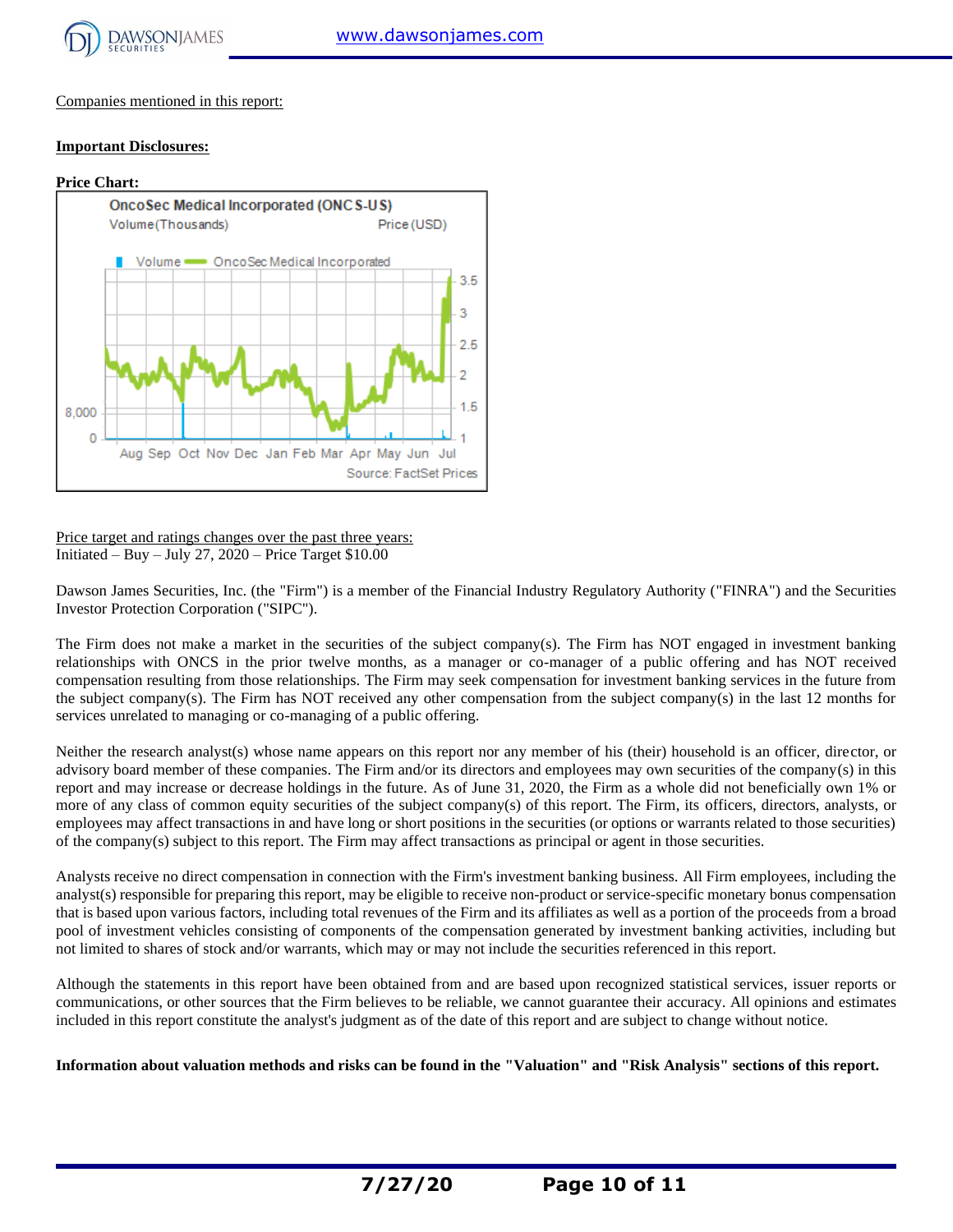

Companies mentioned in this report:

#### **Important Disclosures:**



Price target and ratings changes over the past three years: Initiated – Buy – July 27,  $2020$  – Price Target \$10.00

Dawson James Securities, Inc. (the "Firm") is a member of the Financial Industry Regulatory Authority ("FINRA") and the Securities Investor Protection Corporation ("SIPC").

The Firm does not make a market in the securities of the subject company(s). The Firm has NOT engaged in investment banking relationships with ONCS in the prior twelve months, as a manager or co-manager of a public offering and has NOT received compensation resulting from those relationships. The Firm may seek compensation for investment banking services in the future from the subject company(s). The Firm has NOT received any other compensation from the subject company(s) in the last 12 months for services unrelated to managing or co-managing of a public offering.

Neither the research analyst(s) whose name appears on this report nor any member of his (their) household is an officer, director, or advisory board member of these companies. The Firm and/or its directors and employees may own securities of the company(s) in this report and may increase or decrease holdings in the future. As of June 31, 2020, the Firm as a whole did not beneficially own 1% or more of any class of common equity securities of the subject company(s) of this report. The Firm, its officers, directors, analysts, or employees may affect transactions in and have long or short positions in the securities (or options or warrants related to those securities) of the company(s) subject to this report. The Firm may affect transactions as principal or agent in those securities.

Analysts receive no direct compensation in connection with the Firm's investment banking business. All Firm employees, including the analyst(s) responsible for preparing this report, may be eligible to receive non-product or service-specific monetary bonus compensation that is based upon various factors, including total revenues of the Firm and its affiliates as well as a portion of the proceeds from a broad pool of investment vehicles consisting of components of the compensation generated by investment banking activities, including but not limited to shares of stock and/or warrants, which may or may not include the securities referenced in this report.

Although the statements in this report have been obtained from and are based upon recognized statistical services, issuer reports or communications, or other sources that the Firm believes to be reliable, we cannot guarantee their accuracy. All opinions and estimates included in this report constitute the analyst's judgment as of the date of this report and are subject to change without notice.

**Information about valuation methods and risks can be found in the "Valuation" and "Risk Analysis" sections of this report.**